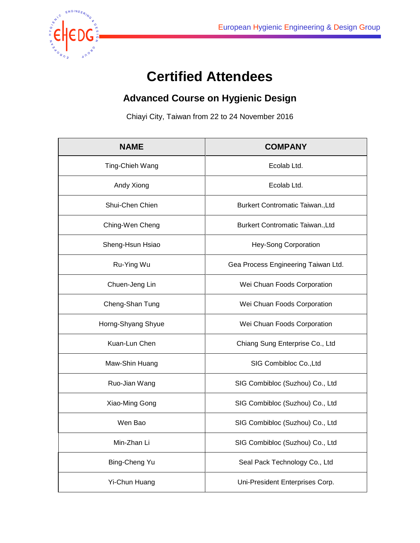

## **Certified Attendees**

## **Advanced Course on Hygienic Design**

Chiayi City, Taiwan from 22 to 24 November 2016

| <b>NAME</b>        | <b>COMPANY</b>                      |
|--------------------|-------------------------------------|
| Ting-Chieh Wang    | Ecolab Ltd.                         |
| Andy Xiong         | Ecolab Ltd.                         |
| Shui-Chen Chien    | Burkert Contromatic Taiwan., Ltd    |
| Ching-Wen Cheng    | Burkert Contromatic Taiwan., Ltd    |
| Sheng-Hsun Hsiao   | Hey-Song Corporation                |
| Ru-Ying Wu         | Gea Process Engineering Taiwan Ltd. |
| Chuen-Jeng Lin     | Wei Chuan Foods Corporation         |
| Cheng-Shan Tung    | Wei Chuan Foods Corporation         |
| Horng-Shyang Shyue | Wei Chuan Foods Corporation         |
| Kuan-Lun Chen      | Chiang Sung Enterprise Co., Ltd     |
| Maw-Shin Huang     | SIG Combibloc Co., Ltd              |
| Ruo-Jian Wang      | SIG Combibloc (Suzhou) Co., Ltd     |
| Xiao-Ming Gong     | SIG Combibloc (Suzhou) Co., Ltd     |
| Wen Bao            | SIG Combibloc (Suzhou) Co., Ltd     |
| Min-Zhan Li        | SIG Combibloc (Suzhou) Co., Ltd     |
| Bing-Cheng Yu      | Seal Pack Technology Co., Ltd       |
| Yi-Chun Huang      | Uni-President Enterprises Corp.     |